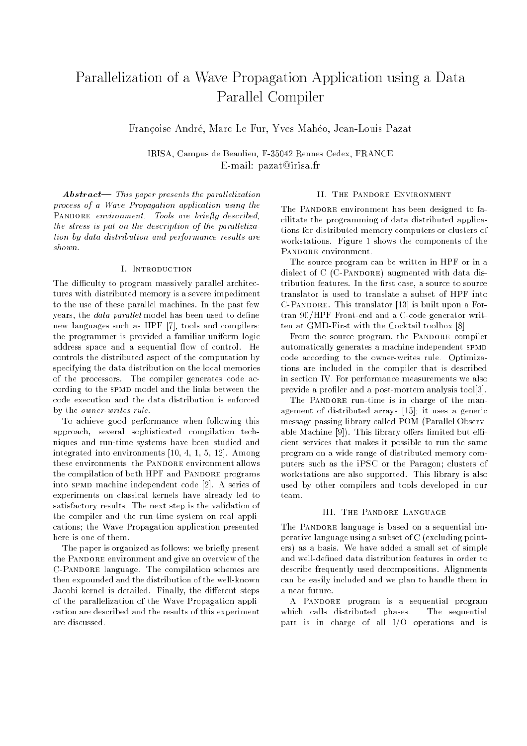# Parallelization of a Wave Propagation Application using a Data Parallel Compiler

Francoise Andre, Marc Le Fur, Yves Maheo, Jean-Louis Pazat

IRISA, Campus de Beaulieu, F-35042 Rennes Cedex, FRANCE E-mail: pazat@irisa.fr

 $Abstract-$  This paper presents the parallelization process of a Wave Propagation application using the PANDORE environment. Tools are briefly described, the stress is put on the description of the parallelization by data distribution and performance results are shown.

The difficulty to program massively parallel architectures with distributed memory is a severe impediment to the use of these parallel machines. In the past few years, the *data parallel* model has been used to define new languages such as HPF [7], tools and compilers: the programmer is provided a familiar uniform logic address space and a sequential flow of control. He controls the distributed aspect of the computation by specifying the data distribution on the local memories of the processors. The compiler generates code according to the SPMD model and the links between the code execution and the data distribution is enforced by the owner-writes rule.

To achieve good performance when following this approach, several sophisticated compilation techniques and run-time systems have been studied and integrated into environments [10, 4, 1, 5, 12]. Among these environments, the PANDORE environment allows the compilation of both HPF and PANDORE programs into spmd machine independent code [2]. A series of experiments on classical kernels have already led to satisfactory results. The next step is the validation of the compiler and the run-time system on real applications; the Wave Propagation application presented here is one of them.

The paper is organized as follows: we briefly present the PANDORE environment and give an overview of the C-Pandore language. The compilation schemes are then expounded and the distribution of the well-known Jacobi kernel is detailed. Finally, the different steps of the parallelization of the Wave Propagation application are described and the results of this experiment

#### II. The Pandore Environment

The PANDORE environment has been designed to facilitate the programming of data distributed applications for distributed memory computers or clusters of workstations. Figure 1 shows the components of the PANDORE environment.

The source program can be written in HPF or in a dialect of  $C$  (C-PANDORE) augmented with data distribution features. In the first case, a source to source translator is used to translate a subset of HPF into C-Pandore. This translator [13] is built upon a Fortran 90/HPF Front-end and a C-code generator written at GMD-First with the Cocktail toolbox [8].

From the source program, the PANDORE compiler automatically generates a machine independent SPMD code according to the owner-writes rule. Optimizations are included in the compiler that is described in section IV. For performance measurements we also provide a profiler and a post-mortem analysis tool[3].

The PANDORE run-time is in charge of the management of distributed arrays [15]; it uses a generic message passing library called POM (Parallel Observable Machine  $[9]$ ). This library offers limited but efficient services that makes it possible to run the same program on a wide range of distributed memory computers such as the iPSC or the Paragon; clusters of workstations are also supported. This library is also used by other compilers and tools developed in our team.

#### III. The Pandore Language

The PANDORE language is based on a sequential imperative language using a subset of C (excluding pointers) as a basis. We have added a small set of simple and well-defined data distribution features in order to describe frequently used decompositions. Alignments can be easily included and we plan to handle them in a near future.

A PANDORE program is a sequential program which calls distributed phases. The sequential part is in charge of all I/O operations and is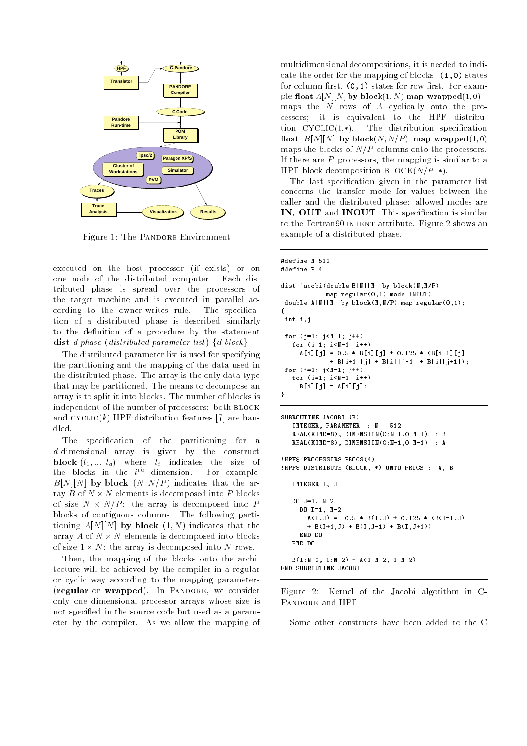

Figure 1: The PANDORE Environment

executed on the host processor (if exists) or on one node of the distributed computer. Each distributed phase is spread over the processors of the target machine and is executed in parallel according to the owner-writes rule. The specication of a distributed phase is described similarly to the definition of a procedure by the statement distributed parameter list in the parameter list of the block group of the block group of the block group of the block group of the block group of the block group of the block group of the block group of the block group of

The distributed parameter list is used for specifying the partitioning and the mapping of the data used in the distributed phase. The array is the only data type that may be partitioned. The means to decompose an array is to split it into blocks. The number of blocks is independent of the number of processors: both BLOCK and  $\mathrm{CYCLIC}(k)$  HPF distribution features [7] are han-

The specification of the partitioning for a d-dimensional array is given by the construct block (time time time time time the size of  $\mathcal{S}$ the blocks in the  $i^{\text{th}}$  dimension. For example:  $B[N][N]$  by block  $(N, N/P)$  indicates that the array B of N - N elements is decomposed into P blocks of size is a size of the array is decomposed into P blocks of contiguous columns. The following partitioning  $A[N][N]$  by block  $(1, N)$  indicates that the array as stay as the composed in the block of the state is decomposed in of size 1 - N: the array is decomposed into N rows.

Then, the mapping of the blocks onto the architecture will be achieved by the compiler in a regular or cyclic way according to the mapping parameters (regular or wrapped). In PANDORE, we consider only one dimensional processor arrays whose size is not specied in the source code but used as a parameter by the compiler. As we allow the mapping of

multidimensional decompositions, it is needed to indicate the order for the mapping of blocks: (1,0) states for column first,  $(0,1)$  states for row first. For example float  $A[N][N]$  by block $(1, N)$  map wrapped $(1, 0)$ maps the  $N$  rows of  $A$  cyclically onto the processors; it is equivalent to the HPF distribution  $CYCLIC(1,*)$ . The distribution specification float  $B[N][N]$  by block $(N, N/P)$  map wrapped $(1, 0)$ maps the blocks of  $N/P$  columns onto the processors. If there are  $P$  processors, the mapping is similar to a HPF block decomposition  $\text{BLOCK}(N/P , *)$ .

The last specification given in the parameter list concerns the transfer mode for values between the caller and the distributed phase: allowed modes are IN, OUT and INOUT. This specication is similar to the Fortran90 INTENT attribute. Figure 2 shows an example of a distributed phase.

```
\texttt{Hdefine} N 512
#define P 4
dist jacobi(double B[N][N] by block(N,N/P)
            map regular(0,1) mode INOUT)
 double A[N][M] by block(N,N/P) map regular(0,1);
\mathbf{f}\simint i, j;
 for (i=1; i\le N-1; i++)for (i=1; i<1-1; i+1)A[i][j] = 0.5 * B[i][j] + 0.125 * (B[i-1][j]+ B[i+1][j] + B[i][j-1] + B[i][j+1]);
 for (j=1; j<1-1; j+)for (i=1; i < N-1; i++)B[i][j] = A[i][j];¥
}
SUBROUTINE JACOBI (B)
   INTEGER, PARAMETER :: N = 512
   REAL(KIND=8), DIMENSION(0:N-1,0:N-1) :: B
   REAL(KIND=8), DIMENSION(0: N-1, 0: N-1) :: A
IHPES PROCESSORS PROCS(4)
!HPF$ PROCESSORS PROCS(4)
!HPF$ DISTRIBUTE (BLOCK, *) ONTO PROCS :: A, B
   INTEGER I, J
   DD = 1 = 1. N = 2DO J=1, N-2
     DO I=1, N-2
       A(I,J) = 0.5 * B(I,J) + 0.125 * (B(I-1,J)+ B(I+1,J) + B(I,J-1) + B(I,J+1))
     END DO
   END DO
   B(1:N-2, 1:N-2) = A(1:N-2, 1:N-2)END SUBROUTINE JACOBI
```
Figure 2: Kernel of the Jacobi algorithm in C-PANDORE and HPF

Some other constructs have been added to the C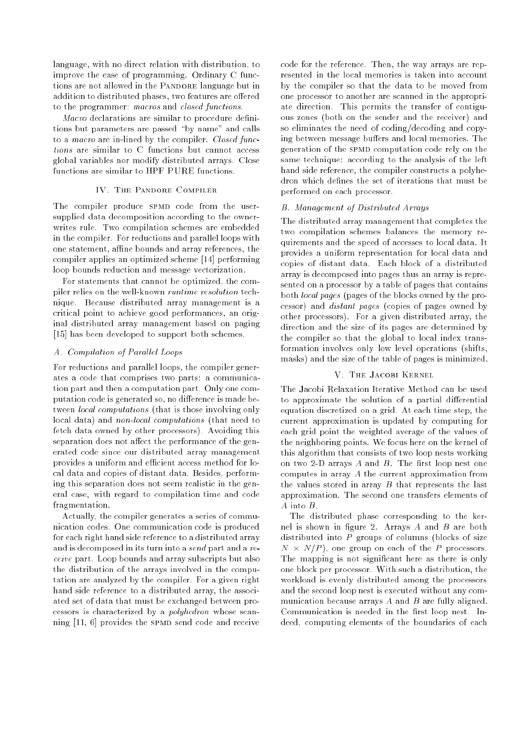language, with no direct relation with distribution, to improve the ease of programming. Ordinary C functions are not allowed in the PANDORE language but in addition to distributed phases, two features are offered to the programmer: macros and closed functions.

Macro declarations are similar to procedure definitions but parameters are passed "by name" and calls to a *macro* are in-lined by the compiler. Closed functions are similar to C functions but cannot access global variables nor modify distributed arrays. Close functions are similar to HPF PURE functions.

# IV. The Pandore Compiler

The compiler produce SPMD code from the usersupplied data decomposition according to the ownerwrites rule. Two compilation schemes are embedded in the compiler. For reductions and parallel loops with one statement, affine bounds and array references, the compiler applies an optimized scheme [14] performing loop bounds reduction and message vectorization.

For statements that cannot be optimized, the compiler relies on the well-known runtime resolution technique. Because distributed array management is a critical point to achieve good performances, an original distributed array management based on paging [15] has been developed to support both schemes.

# A. Compilation of Parallel Loops

For reductions and parallel loops, the compiler generates a code that comprises two parts: a communication part and then a computation part. Only one computation code is generated so, no difference is made between local computations (that is those involving only local data) and non-local computations (that need to fetch data owned by other processors). Avoiding this separation does not affect the performance of the generated code since our distributed array management provides a uniform and efficient access method for local data and copies of distant data. Besides, performing this separation does not seem realistic in the general case, with regard to compilation time and code fragmentation.

Actually, the compiler generates a series of communication codes. One communication code is produced for each right hand side reference to a distributed array and is decomposed in its turn into a send part and a receive part. Loop bounds and array subscripts but also the distribution of the arrays involved in the computation are analyzed by the compiler. For a given right hand side reference to a distributed array, the associated set of data that must be exchanged between processors is characterized by a polyhedron whose scanning [11, 6] provides the SPMD send code and receive

code for the reference. Then, the way arrays are represented in the local memories is taken into account by the compiler so that the data to be moved from one processor to another are scanned in the appropriate direction. This permits the transfer of contiguous zones (both on the sender and the receiver) and so eliminates the need of coding/decoding and copying between message buffers and local memories. The generation of the SPMD computation code rely on the same technique: according to the analysis of the left hand side reference, the compiler constructs a polyhedron which defines the set of iterations that must be performed on each processor.

# B. Management of Distributed Arrays

The distributed array management that completes the two compilation schemes balances the memory requirements and the speed of accesses to local data. It provides a uniform representation for local data and copies of distant data. Each block of a distributed array is decomposed into pages thus an array is represented on a processor by a table of pages that contains both local pages (pages of the blocks owned by the processor) and distant pages (copies of pages owned by other processors). For a given distributed array, the direction and the size of its pages are determined by the compiler so that the global to local index transformation involves only low level operations (shifts, masks) and the size of the table of pages is minimized.

# V. The Jacobi Kernel

The Jacobi Relaxation Iterative Method can be used to approximate the solution of a partial differential equation discretized on a grid. At each time step, the current approximation is updated by computing for each grid point the weighted average of the values of the neighboring points. We focus here on the kernel of this algorithm that consists of two loop nests working on two 2-D arrays  $A$  and  $B$ . The first loop nest one computes in array A the current approximation from the values stored in array  $B$  that represents the last approximation. The second one transfers elements of A into B.

The distributed phase corresponding to the kernel is shown in figure 2. Arrays  $A$  and  $B$  are both distributed into  $P$  groups of columns (blocks of size N - N=P ), one group on each of the P processors. The mapping is not significant here as there is only one block per processor. With such a distribution, the workload is evenly distributed among the processors and the second loop nest is executed without any communication because arrays  $A$  and  $B$  are fully aligned. Communication is needed in the first loop nest. Indeed, computing elements of the boundaries of each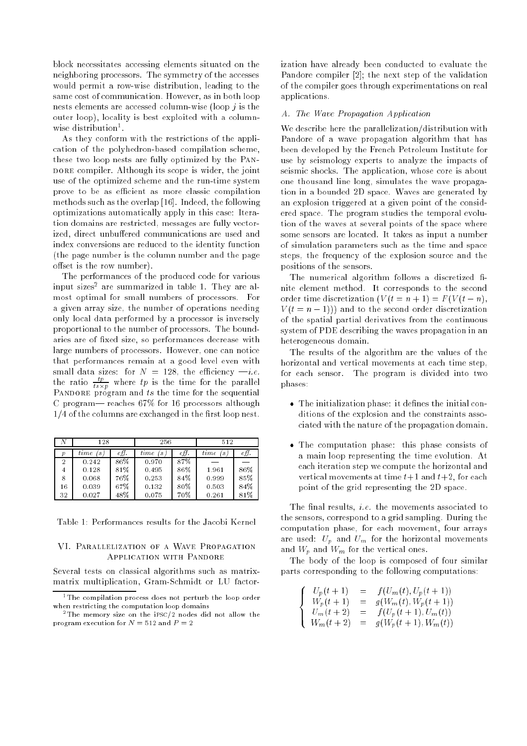block necessitates accessing elements situated on the neighboring processors. The symmetry of the accesses would permit a row-wise distribution, leading to the same cost of communication. However, as in both loop nests elements are accessed column-wise (loop  $j$  is the outer loop), locality is best exploited with a columnwise distribution-.

As they conform with the restrictions of the application of the polyhedron-based compilation scheme, these two loop nests are fully optimized by the Pan-DORE compiler. Although its scope is wider, the joint use of the optimized scheme and the run-time system prove to be as efficient as more classic compilation methods such as the overlap [16]. Indeed, the following optimizations automatically apply in this case: Iteration domains are restricted, messages are fully vectorized, direct unbuffered communications are used and index conversions are reduced to the identity function (the page number is the column number and the page offset is the row number).

The performances of the produced code for various input sizes2 are summarized in table 1. They are almost optimal for small numbers of processors. For a given array size, the number of operations needing only local data performed by a processor is inversely proportional to the number of processors. The boundaries are of fixed size, so performances decrease with large numbers of processors. However, one can notice that performances remain at a good level even with small data sizes: for  $N = 128$ , the efficiency  $-i.e.$ the ratio  $\frac{P}{ts \times p}$  where  $tp$  is the time for the parallel PANDORE program and  $ts$  the time for the sequential C program— reaches  $67\%$  for 16 processors although  $1/4$  of the columns are exchanged in the first loop nest.

|    | 128                                 |      | 256                                 |      | 512                      |      |
|----|-------------------------------------|------|-------------------------------------|------|--------------------------|------|
| р  | time<br>$\mathcal{S}_{\mathcal{S}}$ | eff. | time<br>$\mathcal{S}_{\mathcal{S}}$ | еff. | time<br>$\boldsymbol{s}$ | eff. |
| 2  | 0.242                               | 86%  | 0.970                               | 87%  |                          |      |
| 4  | 0.128                               | 81%  | 0.495                               | 86%  | 1.961                    | 86%  |
| 8  | 0.068                               | 76%  | 0.253                               | 84%  | 0.999                    | 85%  |
| 16 | 0.039                               | 67%  | 0.132                               | 80%  | 0.503                    | 84%  |
| 32 | 0.027                               | 48%  | 0.075                               | 70%  | 0.261                    | 81%  |

Table 1: Performances results for the Jacobi Kernel

## VI. Parallelization of a Wave Propagation Application with Pandore

Several tests on classical algorithms such as matrixmatrix multiplication, Gram-Schmidt or LU factorization have already been conducted to evaluate the Pandore compiler [2]; the next step of the validation of the compiler goes through experimentations on real applications.

## A. The Wave Propagation Application

We describe here the parallelization/distribution with Pandore of a wave propagation algorithm that has been developed by the French Petroleum Institute for use by seismology experts to analyze the impacts of seismic shocks. The application, whose core is about one thousand line long, simulates the wave propagation in a bounded 2D space. Waves are generated by an explosion triggered at a given point of the considered space. The program studies the temporal evolution of the waves at several points of the space where some sensors are located. It takes as input a number of simulation parameters such as the time and space steps, the frequency of the explosion source and the positions of the sensors.

The numerical algorithm follows a discretized finite element method. It corresponds to the second order time discretization  $(V(t = n + 1) = F(V(t - n)),$  $V(t = n - 1)$ ) and to the second order discretization of the spatial partial derivatives from the continuous system of PDE describing the waves propagation in an heterogeneous domain.

The results of the algorithm are the values of the horizontal and vertical movements at each time step, for each sensor. The program is divided into two phases:

- The initialization phase: it denes the initial conditions of the explosion and the constraints associated with the nature of the propagation domain.
- The computation phase: this phase consists of a main loop representing the time evolution. At each iteration step we compute the horizontal and vertical movements at time  $t+1$  and  $t+2$ , for each point of the grid representing the 2D space.

The final results, *i.e.* the movements associated to the sensors, correspond to a grid sampling. During the computation phase, for each movement, four arrays are used:  $U_n$  and  $U_m$  for the horizontal movements and  $W_p$  and  $W_m$  for the vertical ones.

The body of the loop is composed of four similar parts corresponding to the following computations:

$$
\begin{cases}\nU_p(t+1) &= f(U_m(t), U_p(t+1)) \\
W_p(t+1) &= g(W_m(t), W_p(t+1)) \\
U_m(t+2) &= f(U_p(t+1), U_m(t)) \\
W_m(t+2) &= g(W_p(t+1), W_m(t))\n\end{cases}
$$

<sup>&</sup>lt;sup>1</sup>The compilation process does not perturb the loop order when restricting the computation loop domains

<sup>&</sup>lt;sup>2</sup>The memory size on the iPSC/2 nodes did not allow the program execution for <sup>N</sup> = 512 and <sup>P</sup> = 2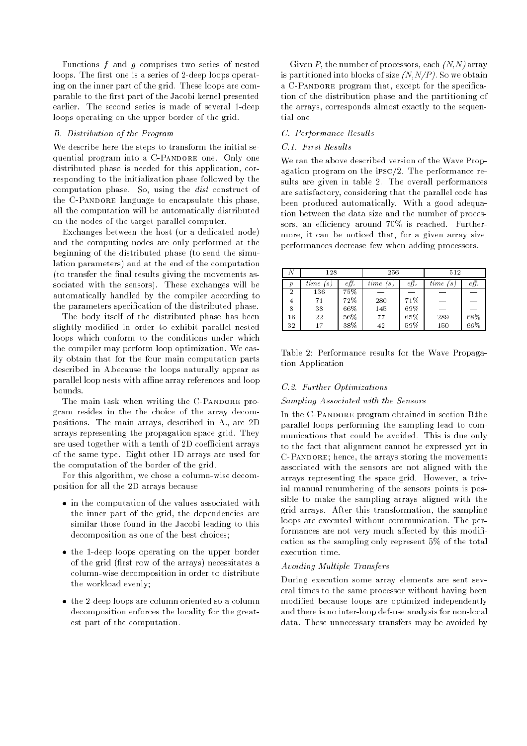Functions  $f$  and  $g$  comprises two series of nested loops. The first one is a series of 2-deep loops operating on the inner part of the grid. These loops are comparable to the first part of the Jacobi kernel presented earlier. The second series is made of several 1-deep loops operating on the upper border of the grid.

#### B. Distribution of the Program

We describe here the steps to transform the initial sequential program into a C-PANDORE one. Only one distributed phase is needed for this application, corresponding to the initialization phase followed by the computation phase. So, using the dist construct of the C-PANDORE language to encapsulate this phase, all the computation will be automatically distributed on the nodes of the target parallel computer.

Exchanges between the host (or a dedicated node) and the computing nodes are only performed at the beginning of the distributed phase (to send the simulation parameters) and at the end of the computation (to transfer the final results giving the movements associated with the sensors). These exchanges will be automatically handled by the compiler according to the parameters specification of the distributed phase.

The body itself of the distributed phase has been slightly modied in order to exhibit parallel nested loops which conform to the conditions under which the compiler may perform loop optimization. We easily obtain that for the four main computation parts described in A.because the loops naturally appear as parallel loop nests with affine array references and loop bounds.

The main task when writing the C-PANDORE program resides in the the choice of the array decompositions. The main arrays, described in A., are 2D arrays representing the propagation space grid. They are used together with a tenth of 2D coefficient arrays of the same type. Eight other 1D arrays are used for the computation of the border of the grid.

For this algorithm, we chose a column-wise decomposition for all the 2D arrays because

- in the computation of the values associated with the inner part of the grid, the dependencies are similar those found in the Jacobi leading to this decomposition as one of the best choices;
- the 1-deep loops operating on the upper border of the grid (first row of the arrays) necessitates a column-wise decomposition in order to distribute the workload evenly;
- the 2-deep loops are column oriented so a column decomposition enforces the locality for the greatest part of the computation.

Given P, the number of processors, each  $(N, N)$  array is partitioned into blocks of size  $(N, N/P)$ . So we obtain a C-PANDORE program that, except for the specification of the distribution phase and the partitioning of the arrays, corresponds almost exactly to the sequential one.

## C. Performance Results

# C.1. First Results

We ran the above described version of the Wave Propagation program on the ipsc/2. The performance results are given in table 2. The overall performances are satisfactory, considering that the parallel code has been produced automatically. With a good adequation between the data size and the number of processors, an efficiency around  $70\%$  is reached. Furthermore, it can be noticed that, for a given array size, performances decrease few when adding processors.

|    | 128                                 |      | 256       |     | 512            |     |
|----|-------------------------------------|------|-----------|-----|----------------|-----|
| р  | time<br>$\mathcal{S}_{\mathcal{S}}$ | eff. | time<br>S | e∏. | $_{time}$<br>S | €Ħ  |
| 2  | 136                                 | 75%  |           |     |                |     |
| 4  | 71                                  | 72%  | 280       | 71% |                |     |
| 8  | 38                                  | 66%  | 145       | 69% |                |     |
| 16 | 22                                  | 56%  | 77        | 65% | 289            | 68% |
| 32 | 17                                  | 38%  | 42        | 59% | 150            | 66% |

Table 2: Performance results for the Wave Propagation Application

#### C.2. Further Optimizations

#### Sampling Associated with the Sensors

In the C-PANDORE program obtained in section Bthe parallel loops performing the sampling lead to communications that could be avoided. This is due only to the fact that alignment cannot be expressed yet in C-Pandore; hence, the arrays storing the movements associated with the sensors are not aligned with the arrays representing the space grid. However, a trivial manual renumbering of the sensors points is possible to make the sampling arrays aligned with the grid arrays. After this transformation, the sampling loops are executed without communication. The performances are not very much affected by this modification as the sampling only represent 5% of the total execution time.

#### Avoiding Multiple Transfers

During execution some array elements are sent several times to the same processor without having been modied because loops are optimized independently and there is no inter-loop def-use analysis for non-local data. These unnecessary transfers may be avoided by